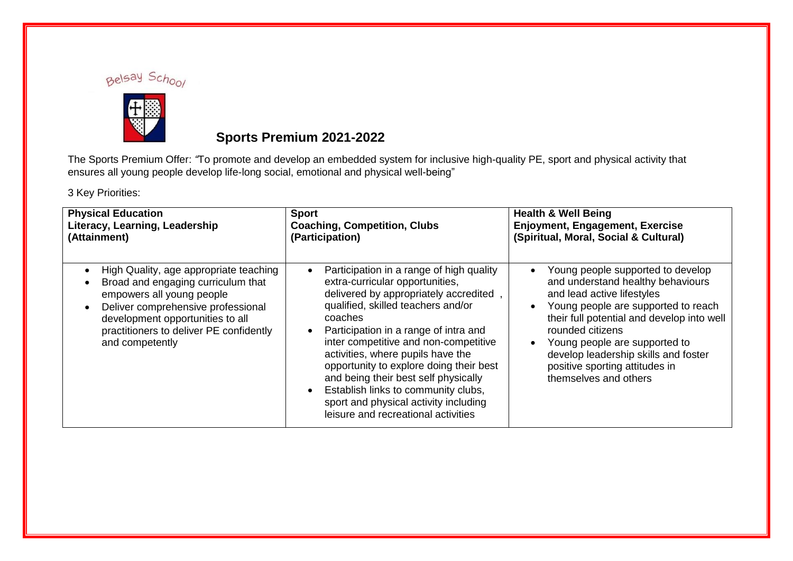



## **Sports Premium 2021-2022**

The Sports Premium Offer: *"*To promote and develop an embedded system for inclusive high-quality PE, sport and physical activity that ensures all young people develop life-long social, emotional and physical well-being"

3 Key Priorities:

| <b>Physical Education</b>                                                                                                                                                                                                                         | <b>Sport</b>                                                                                                                                                                                                                                                                                                                                                                                                                                                                                           | <b>Health &amp; Well Being</b>                                                                                                                                                                                                                                                                                                                                                           |
|---------------------------------------------------------------------------------------------------------------------------------------------------------------------------------------------------------------------------------------------------|--------------------------------------------------------------------------------------------------------------------------------------------------------------------------------------------------------------------------------------------------------------------------------------------------------------------------------------------------------------------------------------------------------------------------------------------------------------------------------------------------------|------------------------------------------------------------------------------------------------------------------------------------------------------------------------------------------------------------------------------------------------------------------------------------------------------------------------------------------------------------------------------------------|
| Literacy, Learning, Leadership                                                                                                                                                                                                                    | <b>Coaching, Competition, Clubs</b>                                                                                                                                                                                                                                                                                                                                                                                                                                                                    | Enjoyment, Engagement, Exercise                                                                                                                                                                                                                                                                                                                                                          |
| (Attainment)                                                                                                                                                                                                                                      | (Participation)                                                                                                                                                                                                                                                                                                                                                                                                                                                                                        | (Spiritual, Moral, Social & Cultural)                                                                                                                                                                                                                                                                                                                                                    |
| High Quality, age appropriate teaching<br>Broad and engaging curriculum that<br>empowers all young people<br>Deliver comprehensive professional<br>development opportunities to all<br>practitioners to deliver PE confidently<br>and competently | Participation in a range of high quality<br>extra-curricular opportunities,<br>delivered by appropriately accredited<br>qualified, skilled teachers and/or<br>coaches<br>Participation in a range of intra and<br>inter competitive and non-competitive<br>activities, where pupils have the<br>opportunity to explore doing their best<br>and being their best self physically<br>Establish links to community clubs,<br>sport and physical activity including<br>leisure and recreational activities | Young people supported to develop<br>$\bullet$<br>and understand healthy behaviours<br>and lead active lifestyles<br>Young people are supported to reach<br>$\bullet$<br>their full potential and develop into well<br>rounded citizens<br>Young people are supported to<br>$\bullet$<br>develop leadership skills and foster<br>positive sporting attitudes in<br>themselves and others |